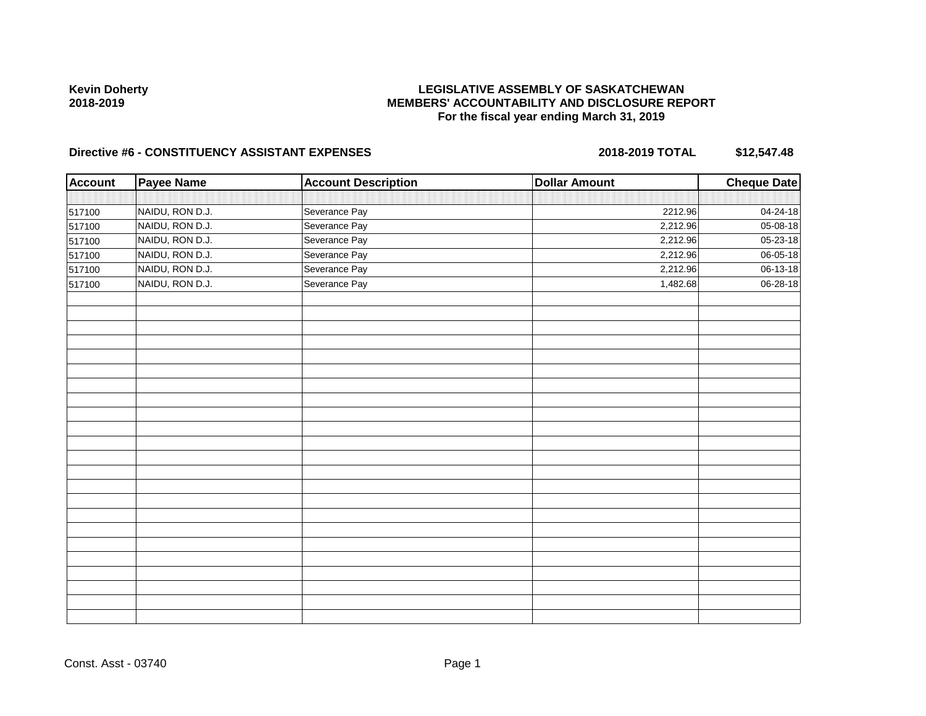# **LEGISLATIVE ASSEMBLY OF SASKATCHEWAN MEMBERS' ACCOUNTABILITY AND DISCLOSURE REPORT For the fiscal year ending March 31, 2019**

| <b>Account</b> | <b>Payee Name</b> | <b>Account Description</b> | <b>Dollar Amount</b> | Cheque Date               |
|----------------|-------------------|----------------------------|----------------------|---------------------------|
|                |                   |                            |                      |                           |
| 517100         | NAIDU, RON D.J.   | Severance Pay              | 2212.96              | 04-24-18                  |
| 517100         | NAIDU, RON D.J.   | Severance Pay              | 2,212.96             | 05-08-18                  |
| 517100         | NAIDU, RON D.J.   | Severance Pay              | 2,212.96             | $\overline{05} - 23 - 18$ |
| 517100         | NAIDU, RON D.J.   | Severance Pay              | 2,212.96             | 06-05-18                  |
| 517100         | NAIDU, RON D.J.   | Severance Pay              | 2,212.96             | 06-13-18                  |
| 517100         | NAIDU, RON D.J.   | Severance Pay              | 1,482.68             | $06 - 28 - 18$            |
|                |                   |                            |                      |                           |
|                |                   |                            |                      |                           |
|                |                   |                            |                      |                           |
|                |                   |                            |                      |                           |
|                |                   |                            |                      |                           |
|                |                   |                            |                      |                           |
|                |                   |                            |                      |                           |
|                |                   |                            |                      |                           |
|                |                   |                            |                      |                           |
|                |                   |                            |                      |                           |
|                |                   |                            |                      |                           |
|                |                   |                            |                      |                           |
|                |                   |                            |                      |                           |
|                |                   |                            |                      |                           |
|                |                   |                            |                      |                           |
|                |                   |                            |                      |                           |
|                |                   |                            |                      |                           |
|                |                   |                            |                      |                           |
|                |                   |                            |                      |                           |
|                |                   |                            |                      |                           |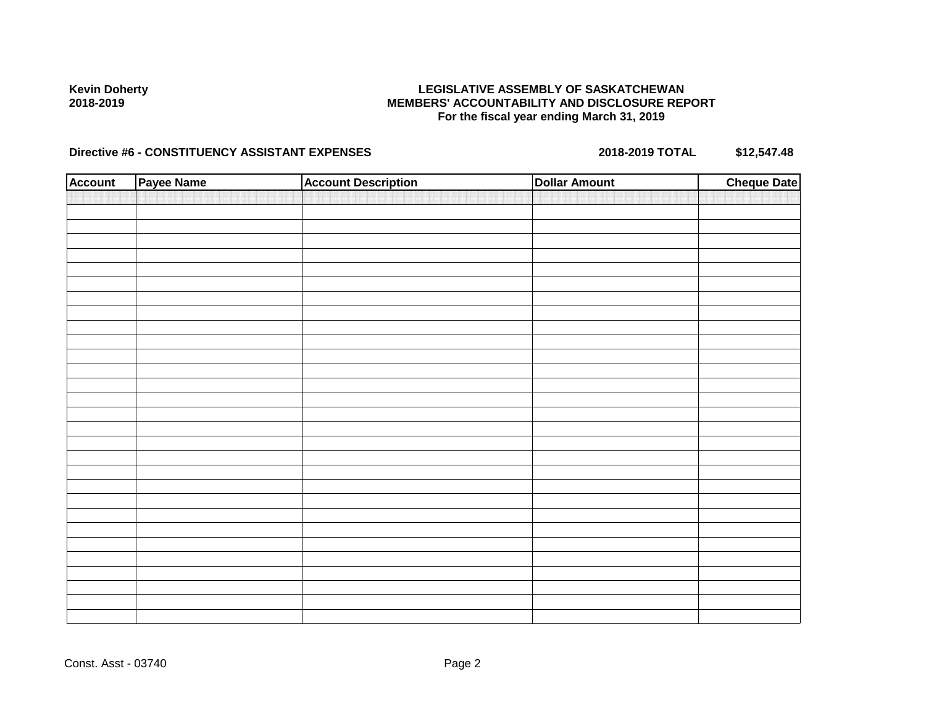#### **LEGISLATIVE ASSEMBLY OF SASKATCHEWAN MEMBERS' ACCOUNTABILITY AND DISCLOSURE REPORT For the fiscal year ending March 31, 2019**

| <b>Account</b> | Payee Name | <b>Account Description</b> | <b>Dollar Amount</b> | <b>Cheque Date</b> |
|----------------|------------|----------------------------|----------------------|--------------------|
|                |            |                            |                      |                    |
|                |            |                            |                      |                    |
|                |            |                            |                      |                    |
|                |            |                            |                      |                    |
|                |            |                            |                      |                    |
|                |            |                            |                      |                    |
|                |            |                            |                      |                    |
|                |            |                            |                      |                    |
|                |            |                            |                      |                    |
|                |            |                            |                      |                    |
|                |            |                            |                      |                    |
|                |            |                            |                      |                    |
|                |            |                            |                      |                    |
|                |            |                            |                      |                    |
|                |            |                            |                      |                    |
|                |            |                            |                      |                    |
|                |            |                            |                      |                    |
|                |            |                            |                      |                    |
|                |            |                            |                      |                    |
|                |            |                            |                      |                    |
|                |            |                            |                      |                    |
|                |            |                            |                      |                    |
|                |            |                            |                      |                    |
|                |            |                            |                      |                    |
|                |            |                            |                      |                    |
|                |            |                            |                      |                    |
|                |            |                            |                      |                    |
|                |            |                            |                      |                    |
|                |            |                            |                      |                    |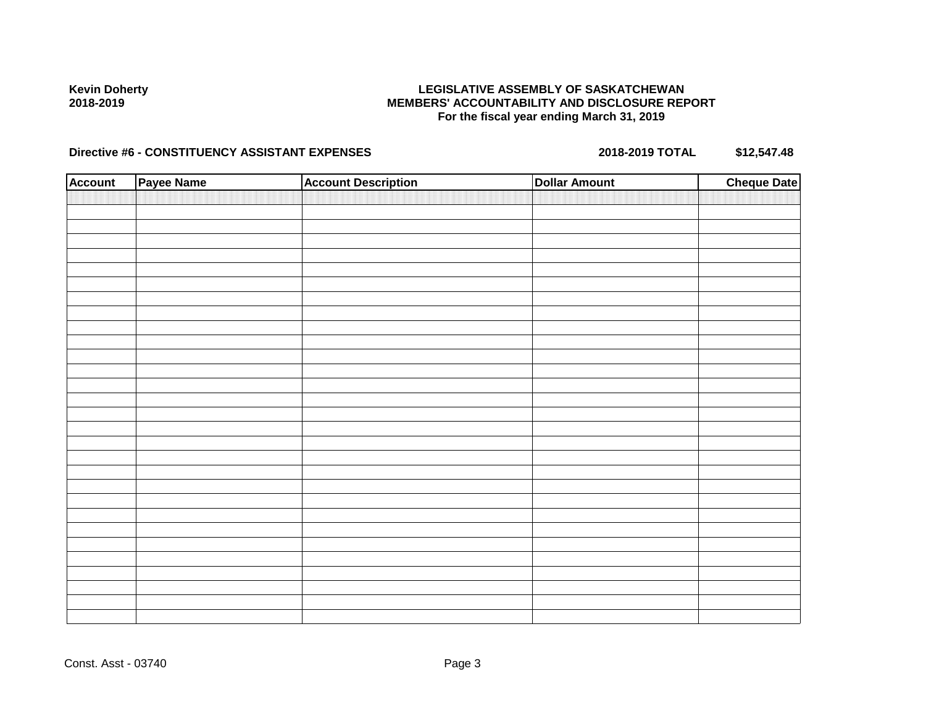#### **LEGISLATIVE ASSEMBLY OF SASKATCHEWAN MEMBERS' ACCOUNTABILITY AND DISCLOSURE REPORT For the fiscal year ending March 31, 2019**

| <b>Account</b> | Payee Name | <b>Account Description</b> | <b>Dollar Amount</b> | <b>Cheque Date</b> |
|----------------|------------|----------------------------|----------------------|--------------------|
|                |            |                            |                      |                    |
|                |            |                            |                      |                    |
|                |            |                            |                      |                    |
|                |            |                            |                      |                    |
|                |            |                            |                      |                    |
|                |            |                            |                      |                    |
|                |            |                            |                      |                    |
|                |            |                            |                      |                    |
|                |            |                            |                      |                    |
|                |            |                            |                      |                    |
|                |            |                            |                      |                    |
|                |            |                            |                      |                    |
|                |            |                            |                      |                    |
|                |            |                            |                      |                    |
|                |            |                            |                      |                    |
|                |            |                            |                      |                    |
|                |            |                            |                      |                    |
|                |            |                            |                      |                    |
|                |            |                            |                      |                    |
|                |            |                            |                      |                    |
|                |            |                            |                      |                    |
|                |            |                            |                      |                    |
|                |            |                            |                      |                    |
|                |            |                            |                      |                    |
|                |            |                            |                      |                    |
|                |            |                            |                      |                    |
|                |            |                            |                      |                    |
|                |            |                            |                      |                    |
|                |            |                            |                      |                    |